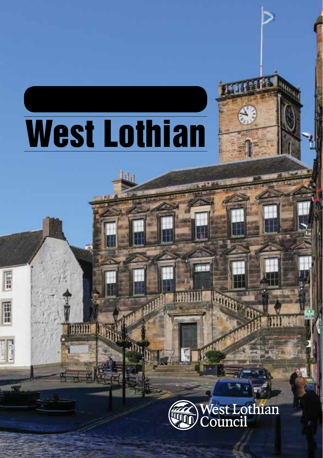# West Lothian

E

H

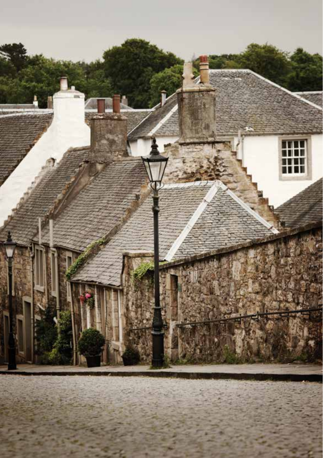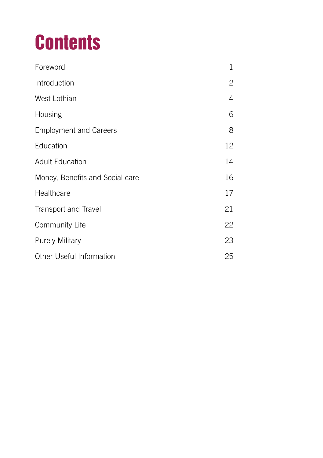## **Contents**

| Foreword                        | 1              |
|---------------------------------|----------------|
| Introduction                    | $\overline{2}$ |
| West Lothian                    | 4              |
| Housing                         | 6              |
| <b>Employment and Careers</b>   | 8              |
| Education                       | 12             |
| <b>Adult Education</b>          | 14             |
| Money, Benefits and Social care | 16             |
| Healthcare                      | 17             |
| Transport and Travel            | 21             |
| Community Life                  | 22             |
| <b>Purely Military</b>          | 23             |
| Other Useful Information        | 25             |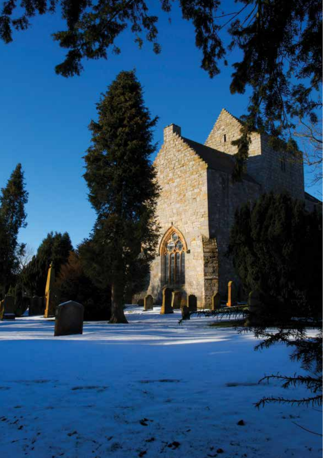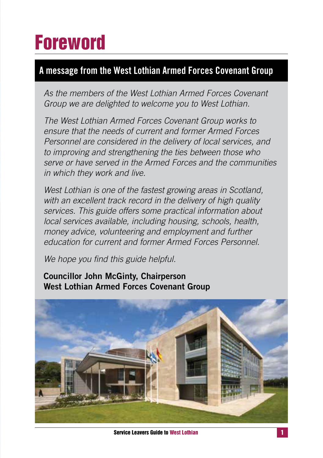### Foreword

#### A message from the West Lothian Armed Forces Covenant Group

*As the members of the West Lothian Armed Forces Covenant Group we are delighted to welcome you to West Lothian.*

*The West Lothian Armed Forces Covenant Group works to ensure that the needs of current and former Armed Forces Personnel are considered in the delivery of local services, and to improving and strengthening the ties between those who serve or have served in the Armed Forces and the communities in which they work and live.*

*West Lothian is one of the fastest growing areas in Scotland, with an excellent track record in the delivery of high quality services. This guide offers some practical information about local services available, including housing, schools, health, money advice, volunteering and employment and further education for current and former Armed Forces Personnel.*

*We hope you find this guide helpful.*

Councillor John McGinty, Chairperson West Lothian Armed Forces Covenant Group

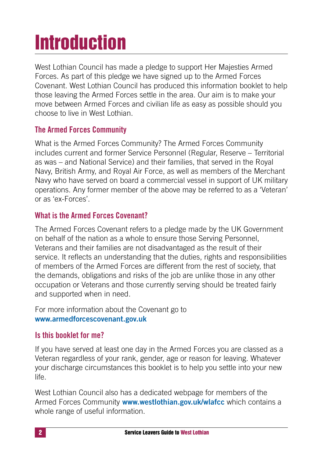# **Introduction**

West Lothian Council has made a pledge to support Her Majesties Armed Forces. As part of this pledge we have signed up to the Armed Forces Covenant. West Lothian Council has produced this information booklet to help those leaving the Armed Forces settle in the area. Our aim is to make your move between Armed Forces and civilian life as easy as possible should you choose to live in West Lothian.

#### The Armed Forces Community

What is the Armed Forces Community? The Armed Forces Community includes current and former Service Personnel (Regular, Reserve – Territorial as was – and National Service) and their families, that served in the Royal Navy, British Army, and Royal Air Force, as well as members of the Merchant Navy who have served on board a commercial vessel in support of UK military operations. Any former member of the above may be referred to as a 'Veteran' or as 'ex-Forces'.

#### What is the Armed Forces Covenant?

The Armed Forces Covenant refers to a pledge made by the UK Government on behalf of the nation as a whole to ensure those Serving Personnel, Veterans and their families are not disadvantaged as the result of their service. It reflects an understanding that the duties, rights and responsibilities of members of the Armed Forces are different from the rest of society, that the demands, obligations and risks of the job are unlike those in any other occupation or Veterans and those currently serving should be treated fairly and supported when in need.

For more information about the Covenant go to www.armedforcescovenant.gov.uk

#### Is this booklet for me?

If you have served at least one day in the Armed Forces you are classed as a Veteran regardless of your rank, gender, age or reason for leaving. Whatever your discharge circumstances this booklet is to help you settle into your new life.

West Lothian Council also has a dedicated webpage for members of the Armed Forces Community www.westlothian.gov.uk/wlafcc which contains a whole range of useful information.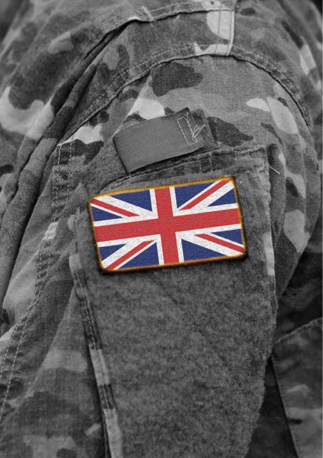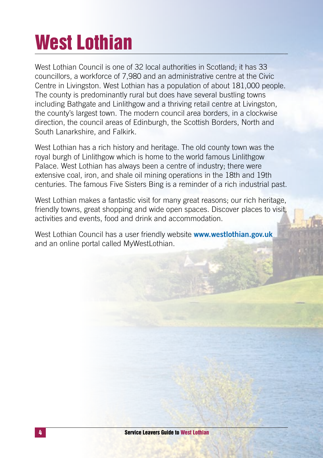# West Lothian

West Lothian Council is one of 32 local authorities in Scotland; it has 33 councillors, a workforce of 7,980 and an administrative centre at the Civic Centre in Livingston. West Lothian has a population of about 181,000 people. The county is predominantly rural but does have several bustling towns including Bathgate and Linlithgow and a thriving retail centre at Livingston, the county's largest town. The modern council area borders, in a clockwise direction, the council areas of Edinburgh, the Scottish Borders, North and South Lanarkshire, and Falkirk.

West Lothian has a rich history and heritage. The old county town was the royal burgh of Linlithgow which is home to the world famous Linlithgow Palace. West Lothian has always been a centre of industry; there were extensive coal, iron, and shale oil mining operations in the 18th and 19th centuries. The famous Five Sisters Bing is a reminder of a rich industrial past.

West Lothian makes a fantastic visit for many great reasons; our rich heritage, friendly towns, great shopping and wide open spaces. Discover places to visit, activities and events, food and drink and accommodation.

West Lothian Council has a user friendly website www.westlothian.gov.uk and an online portal called MyWestLothian.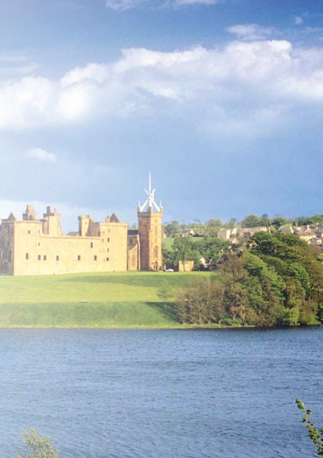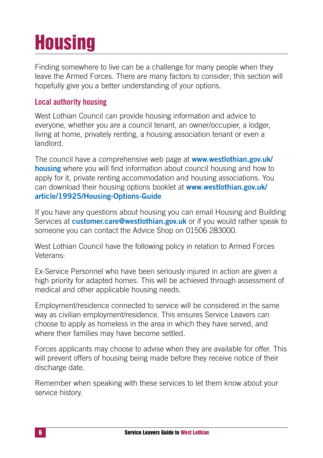# **Housing**

Finding somewhere to live can be a challenge for many people when they leave the Armed Forces. There are many factors to consider; this section will hopefully give you a better understanding of your options.

#### Local authority housing

West Lothian Council can provide housing information and advice to everyone, whether you are a council tenant, an owner/occupier, a lodger, living at home, privately renting, a housing association tenant or even a landlord.

The council have a comprehensive web page at www.westlothian.gov.uk/ housing where you will find information about council housing and how to apply for it, private renting accommodation and housing associations. You can download their housing options booklet at www.westlothian.gov.uk/ article/19925/Housing-Options-Guide

If you have any questions about housing you can email Housing and Building Services at customer.care@westlothian.gov.uk or if you would rather speak to someone you can contact the Advice Shop on 01506 283000.

West Lothian Council have the following policy in relation to Armed Forces Veterans:

Ex-Service Personnel who have been seriously injured in action are given a high priority for adapted homes. This will be achieved through assessment of medical and other applicable housing needs.

Employment/residence connected to service will be considered in the same way as civilian employment/residence. This ensures Service Leavers can choose to apply as homeless in the area in which they have served, and where their families may have become settled.

Forces applicants may choose to advise when they are available for offer. This will prevent offers of housing being made before they receive notice of their discharge date.

Remember when speaking with these services to let them know about your service history.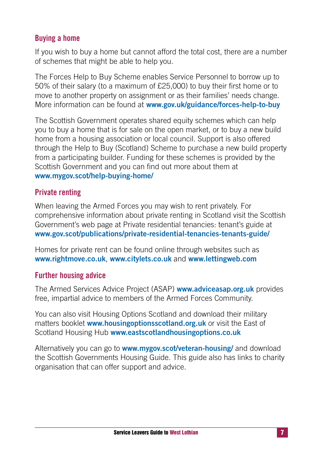#### Buying a home

If you wish to buy a home but cannot afford the total cost, there are a number of schemes that might be able to help you.

The Forces Help to Buy Scheme enables Service Personnel to borrow up to 50% of their salary (to a maximum of £25,000) to buy their first home or to move to another property on assignment or as their families' needs change. More information can be found at www.gov.uk/guidance/forces-help-to-buy

The Scottish Government operates shared equity schemes which can help you to buy a home that is for sale on the open market, or to buy a new build home from a housing association or local council. Support is also offered through the Help to Buy (Scotland) Scheme to purchase a new build property from a participating builder. Funding for these schemes is provided by the Scottish Government and you can find out more about them at www.mygov.scot/help-buying-home/

#### Private renting

When leaving the Armed Forces you may wish to rent privately. For comprehensive information about private renting in Scotland visit the Scottish Government's web page at Private residential tenancies: tenant's guide at www.gov.scot/publications/private-residential-tenancies-tenants-guide/

Homes for private rent can be found online through websites such as www.rightmove.co.uk, www.citylets.co.uk and www.lettingweb.com

#### Further housing advice

The Armed Services Advice Project (ASAP) www.adviceasap.org.uk provides free, impartial advice to members of the Armed Forces Community.

You can also visit Housing Options Scotland and download their military matters booklet www.housingoptionsscotland.org.uk or visit the East of Scotland Housing Hub www.eastscotlandhousingoptions.co.uk

Alternatively you can go to www.mygov.scot/veteran-housing/ and download the Scottish Governments Housing Guide. This guide also has links to charity organisation that can offer support and advice.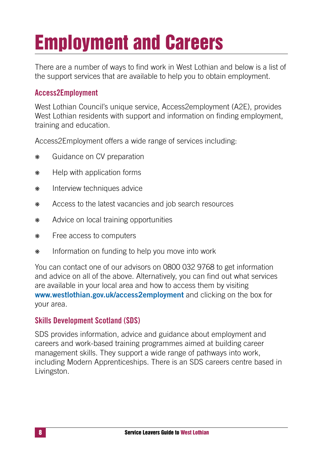# Employment and Careers

There are a number of ways to find work in West Lothian and below is a list of the support services that are available to help you to obtain employment.

#### Access2Employment

West Lothian Council's unique service, Access2employment (A2E), provides West Lothian residents with support and information on finding employment, training and education.

Access2Employment offers a wide range of services including:

- ❋ Guidance on CV preparation
- ❋ Help with application forms
- ❋ Interview techniques advice
- ❋ Access to the latest vacancies and job search resources
- ❋ Advice on local training opportunities
- ❋ Free access to computers
- ❋ Information on funding to help you move into work

You can contact one of our advisors on 0800 032 9768 to get information and advice on all of the above. Alternatively, you can find out what services are available in your local area and how to access them by visiting www.westlothian.gov.uk/access2employment and clicking on the box for your area.

#### Skills Development Scotland (SDS)

SDS provides information, advice and guidance about employment and careers and work-based training programmes aimed at building career management skills. They support a wide range of pathways into work, including Modern Apprenticeships. There is an SDS careers centre based in Livingston.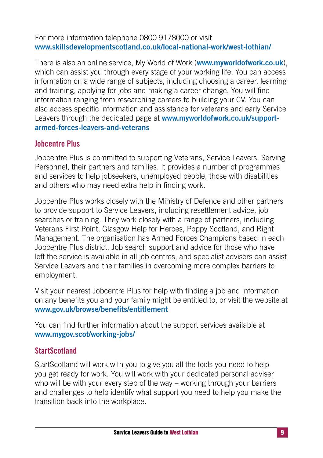#### For more information telephone 0800 9178000 or visit www.skillsdevelopmentscotland.co.uk/local-national-work/west-lothian/

There is also an online service. My World of Work (www.myworldofwork.co.uk). which can assist you through every stage of your working life. You can access information on a wide range of subjects, including choosing a career, learning and training, applying for jobs and making a career change. You will find information ranging from researching careers to building your CV. You can also access specific information and assistance for veterans and early Service Leavers through the dedicated page at www.myworldofwork.co.uk/supportarmed-forces-leavers-and-veterans

#### Jobcentre Plus

Jobcentre Plus is committed to supporting Veterans, Service Leavers, Serving Personnel, their partners and families. It provides a number of programmes and services to help jobseekers, unemployed people, those with disabilities and others who may need extra help in finding work.

Jobcentre Plus works closely with the Ministry of Defence and other partners to provide support to Service Leavers, including resettlement advice, job searches or training. They work closely with a range of partners, including Veterans First Point, Glasgow Help for Heroes, Poppy Scotland, and Right Management. The organisation has Armed Forces Champions based in each Jobcentre Plus district. Job search support and advice for those who have left the service is available in all job centres, and specialist advisers can assist Service Leavers and their families in overcoming more complex barriers to employment.

Visit your nearest Jobcentre Plus for help with finding a job and information on any benefits you and your family might be entitled to, or visit the website at www.gov.uk/browse/benefits/entitlement

You can find further information about the support services available at www.mygov.scot/working-jobs/

#### **StartScotland**

StartScotland will work with you to give you all the tools you need to help you get ready for work. You will work with your dedicated personal adviser who will be with your every step of the way – working through your barriers and challenges to help identify what support you need to help you make the transition back into the workplace.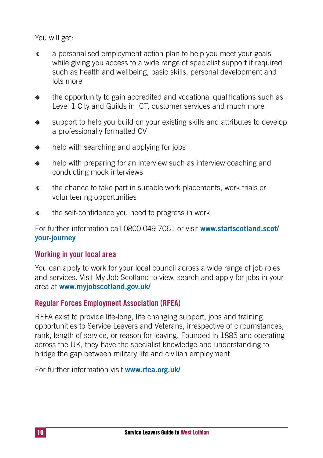You will get:

- ❋ a personalised employment action plan to help you meet your goals while giving you access to a wide range of specialist support if required such as health and wellbeing, basic skills, personal development and lots more
- ❋ the opportunity to gain accredited and vocational qualifications such as Level 1 City and Guilds in ICT, customer services and much more
- ❋ support to help you build on your existing skills and attributes to develop a professionally formatted CV
- ❋ help with searching and applying for jobs
- ❋ help with preparing for an interview such as interview coaching and conducting mock interviews
- ❋ the chance to take part in suitable work placements, work trials or volunteering opportunities
- ❋ the self-confidence you need to progress in work

For further information call 0800 049 7061 or visit www.startscotland.scot/ your-journey

#### Working in your local area

You can apply to work for your local council across a wide range of job roles and services. Visit My Job Scotland to view, search and apply for jobs in your area at www.myjobscotland.gov.uk/

#### Regular Forces Employment Association (RFEA)

REFA exist to provide life-long, life changing support, jobs and training opportunities to Service Leavers and Veterans, irrespective of circumstances, rank, length of service, or reason for leaving. Founded in 1885 and operating across the UK, they have the specialist knowledge and understanding to bridge the gap between military life and civilian employment.

For further information visit www.rfea.org.uk/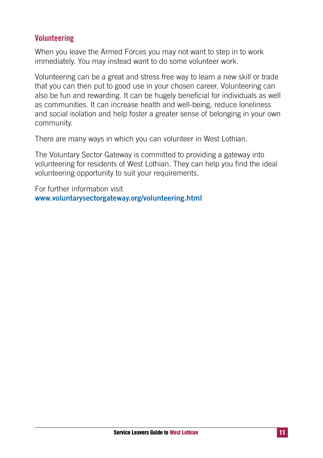#### Volunteering

When you leave the Armed Forces you may not want to step in to work immediately. You may instead want to do some volunteer work.

Volunteering can be a great and stress free way to learn a new skill or trade that you can then put to good use in your chosen career. Volunteering can also be fun and rewarding. It can be hugely beneficial for individuals as well as communities. It can increase health and well-being, reduce loneliness and social isolation and help foster a greater sense of belonging in your own community.

There are many ways in which you can volunteer in West Lothian.

The Voluntary Sector Gateway is committed to providing a gateway into volunteering for residents of West Lothian. They can help you find the ideal volunteering opportunity to suit your requirements.

For further information visit www.voluntarysectorgateway.org/volunteering.html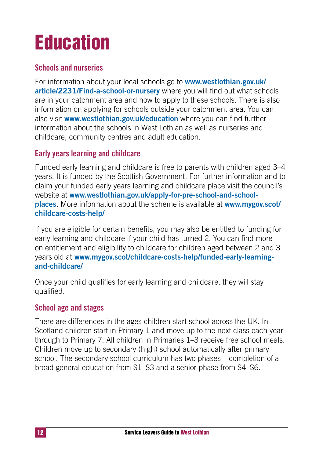### Education

#### Schools and nurseries

For information about your local schools go to www.westlothian.gov.uk/ article/2231/Find-a-school-or-nursery where you will find out what schools are in your catchment area and how to apply to these schools. There is also information on applying for schools outside your catchment area. You can also visit www.westlothian.gov.uk/education where you can find further information about the schools in West Lothian as well as nurseries and childcare, community centres and adult education.

#### Early years learning and childcare

Funded early learning and childcare is free to parents with children aged 3–4 years. It is funded by the Scottish Government. For further information and to claim your funded early years learning and childcare place visit the council's website at www.westlothian.gov.uk/apply-for-pre-school-and-school**places.** More information about the scheme is available at **www.mygov.scot/** childcare-costs-help/

If you are eligible for certain benefits, you may also be entitled to funding for early learning and childcare if your child has turned 2. You can find more on entitlement and eligibility to childcare for children aged between 2 and 3 years old at www.mygov.scot/childcare-costs-help/funded-early-learningand-childcare/

Once your child qualifies for early learning and childcare, they will stay qualified.

#### School age and stages

There are differences in the ages children start school across the UK. In Scotland children start in Primary 1 and move up to the next class each year through to Primary 7. All children in Primaries 1–3 receive free school meals. Children move up to secondary (high) school automatically after primary school. The secondary school curriculum has two phases – completion of a broad general education from S1–S3 and a senior phase from S4–S6.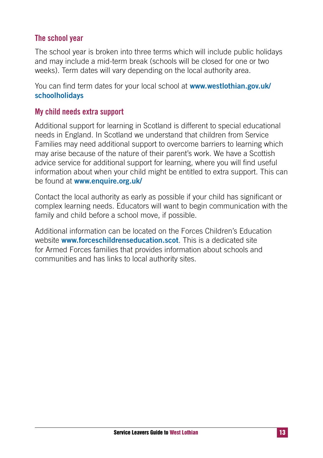#### The school year

The school year is broken into three terms which will include public holidays and may include a mid-term break (schools will be closed for one or two weeks). Term dates will vary depending on the local authority area.

You can find term dates for your local school at www.westlothian.gov.uk/ schoolholidays

#### My child needs extra support

Additional support for learning in Scotland is different to special educational needs in England. In Scotland we understand that children from Service Families may need additional support to overcome barriers to learning which may arise because of the nature of their parent's work. We have a Scottish advice service for additional support for learning, where you will find useful information about when your child might be entitled to extra support. This can be found at www.enquire.org.uk/

Contact the local authority as early as possible if your child has significant or complex learning needs. Educators will want to begin communication with the family and child before a school move, if possible.

Additional information can be located on the Forces Children's Education website www.forceschildrenseducation.scot. This is a dedicated site for Armed Forces families that provides information about schools and communities and has links to local authority sites.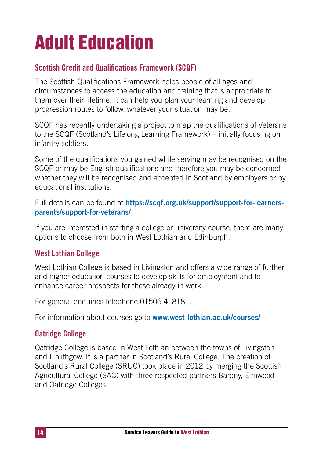# Adult Education

#### Scottish Credit and Qualifications Framework (SCQF)

The Scottish Qualifications Framework helps people of all ages and circumstances to access the education and training that is appropriate to them over their lifetime. It can help you plan your learning and develop progression routes to follow, whatever your situation may be.

SCQF has recently undertaking a project to map the qualifications of Veterans to the SCQF (Scotland's Lifelong Learning Framework) – initially focusing on infantry soldiers.

Some of the qualifications you gained while serving may be recognised on the SCQF or may be English qualifications and therefore you may be concerned whether they will be recognised and accepted in Scotland by employers or by educational institutions.

Full details can be found at https://scqf.org.uk/support/support-for-learnersparents/support-for-veterans/

If you are interested in starting a college or university course, there are many options to choose from both in West Lothian and Edinburgh.

#### West Lothian College

West Lothian College is based in Livingston and offers a wide range of further and higher education courses to develop skills for employment and to enhance career prospects for those already in work.

For general enquiries telephone 01506 418181.

For information about courses go to www.west-lothian.ac.uk/courses/

#### Oatridge College

Oatridge College is based in West Lothian between the towns of Livingston and Linlithgow. It is a partner in Scotland's Rural College. The creation of Scotland's Rural College (SRUC) took place in 2012 by merging the Scottish Agricultural College (SAC) with three respected partners Barony, Elmwood and Oatridge Colleges.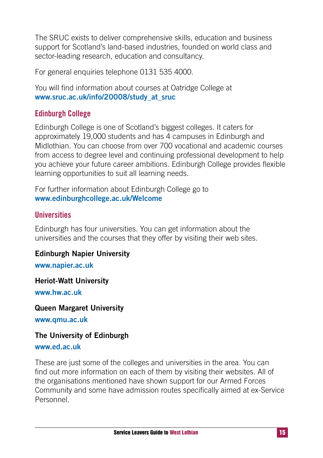The SRUC exists to deliver comprehensive skills, education and business support for Scotland's land-based industries, founded on world class and sector-leading research, education and consultancy.

For general enquiries telephone 0131 535 4000.

You will find information about courses at Oatridge College at www.sruc.ac.uk/info/20008/study\_at\_sruc

#### Edinburgh College

Edinburgh College is one of Scotland's biggest colleges. It caters for approximately 19,000 students and has 4 campuses in Edinburgh and Midlothian. You can choose from over 700 vocational and academic courses from access to degree level and continuing professional development to help you achieve your future career ambitions. Edinburgh College provides flexible learning opportunities to suit all learning needs.

For further information about Edinburgh College go to www.edinburghcollege.ac.uk/Welcome

#### **Ilniversities**

Edinburgh has four universities. You can get information about the universities and the courses that they offer by visiting their web sites.

Edinburgh Napier University www.napier.ac.uk

#### Heriot-Watt University

www.hw.ac.uk

Queen Margaret University

www.qmu.ac.uk

#### The University of Edinburgh

#### www.ed.ac.uk

These are just some of the colleges and universities in the area. You can find out more information on each of them by visiting their websites. All of the organisations mentioned have shown support for our Armed Forces Community and some have admission routes specifically aimed at ex-Service Personnel.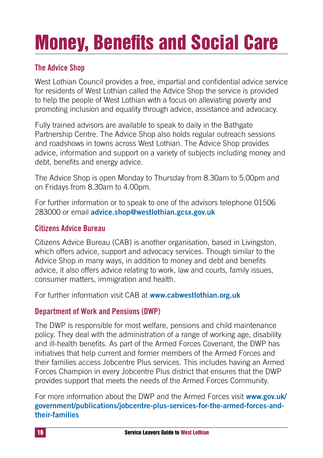# Money, Benefits and Social Care

#### The Advice Shop

West Lothian Council provides a free, impartial and confidential advice service for residents of West Lothian called the Advice Shop the service is provided to help the people of West Lothian with a focus on alleviating poverty and promoting inclusion and equality through advice, assistance and advocacy.

Fully trained advisors are available to speak to daily in the Bathgate Partnership Centre. The Advice Shop also holds regular outreach sessions and roadshows in towns across West Lothian. The Advice Shop provides advice, information and support on a variety of subjects including money and debt, benefits and energy advice.

The Advice Shop is open Monday to Thursday from 8.30am to 5.00pm and on Fridays from 8.30am to 4.00pm.

For further information or to speak to one of the advisors telephone 01506 283000 or email advice.shop@westlothian.gcsx.gov.uk

#### Citizens Advice Bureau

Citizens Advice Bureau (CAB) is another organisation, based in Livingston, which offers advice, support and advocacy services. Though similar to the Advice Shop in many ways, in addition to money and debt and benefits advice, it also offers advice relating to work, law and courts, family issues, consumer matters, immigration and health.

For further information visit CAB at www.cabwestlothian.org.uk

#### Department of Work and Pensions (DWP)

The DWP is responsible for most welfare, pensions and child maintenance policy. They deal with the administration of a range of working age, disability and ill-health benefits. As part of the Armed Forces Covenant, the DWP has initiatives that help current and former members of the Armed Forces and their families access Jobcentre Plus services. This includes having an Armed Forces Champion in every Jobcentre Plus district that ensures that the DWP provides support that meets the needs of the Armed Forces Community.

For more information about the DWP and the Armed Forces visit www.gov.uk/ government/publications/jobcentre-plus-services-for-the-armed-forces-andtheir-families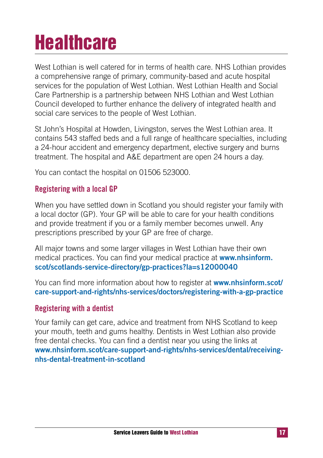### **Healthcare**

West Lothian is well catered for in terms of health care. NHS Lothian provides a comprehensive range of primary, community-based and acute hospital services for the population of West Lothian. West Lothian Health and Social Care Partnership is a partnership between NHS Lothian and West Lothian Council developed to further enhance the delivery of integrated health and social care services to the people of West Lothian.

St John's Hospital at Howden, Livingston, serves the West Lothian area. It contains 543 staffed beds and a full range of healthcare specialties, including a 24-hour accident and emergency department, elective surgery and burns treatment. The hospital and A&E department are open 24 hours a day.

You can contact the hospital on 01506 523000.

#### Registering with a local GP

When you have settled down in Scotland you should register your family with a local doctor (GP). Your GP will be able to care for your health conditions and provide treatment if you or a family member becomes unwell. Any prescriptions prescribed by your GP are free of charge.

All major towns and some larger villages in West Lothian have their own medical practices. You can find your medical practice at www.nhsinform. scot/scotlands-service-directory/gp-practices?la=s12000040

You can find more information about how to register at www.nhsinform.scot/ care-support-and-rights/nhs-services/doctors/registering-with-a-gp-practice

#### Registering with a dentist

Your family can get care, advice and treatment from NHS Scotland to keep your mouth, teeth and gums healthy. Dentists in West Lothian also provide free dental checks. You can find a dentist near you using the links at www.nhsinform.scot/care-support-and-rights/nhs-services/dental/receivingnhs-dental-treatment-in-scotland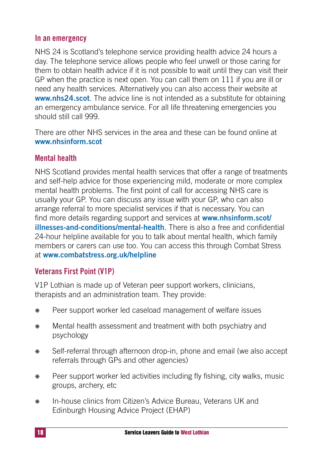#### In an emergency

NHS 24 is Scotland's telephone service providing health advice 24 hours a day. The telephone service allows people who feel unwell or those caring for them to obtain health advice if it is not possible to wait until they can visit their GP when the practice is next open. You can call them on 111 if you are ill or need any health services. Alternatively you can also access their website at www.nhs24.scot. The advice line is not intended as a substitute for obtaining an emergency ambulance service. For all life threatening emergencies you should still call 999.

There are other NHS services in the area and these can be found online at www.nhsinform.scot

#### Mental health

NHS Scotland provides mental health services that offer a range of treatments and self-help advice for those experiencing mild, moderate or more complex mental health problems. The first point of call for accessing NHS care is usually your GP. You can discuss any issue with your GP, who can also arrange referral to more specialist services if that is necessary. You can find more details regarding support and services at www.nhsinform.scot/ illnesses-and-conditions/mental-health. There is also a free and confidential 24-hour helpline available for you to talk about mental health, which family members or carers can use too. You can access this through Combat Stress at www.combatstress.org.uk/helpline

#### Veterans First Point (V1P)

V1P Lothian is made up of Veteran peer support workers, clinicians, therapists and an administration team. They provide:

- ❋ Peer support worker led caseload management of welfare issues
- ❋ Mental health assessment and treatment with both psychiatry and psychology
- ❋ Self-referral through afternoon drop-in, phone and email (we also accept referrals through GPs and other agencies)
- ❋ Peer support worker led activities including fly fishing, city walks, music groups, archery, etc
- ❋ In-house clinics from Citizen's Advice Bureau, Veterans UK and Edinburgh Housing Advice Project (EHAP)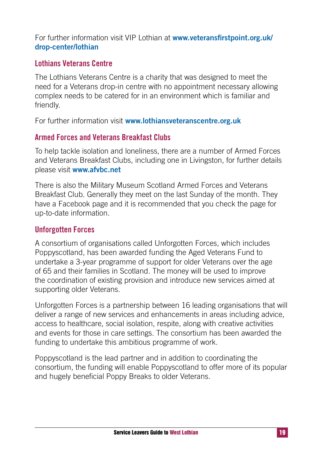#### For further information visit VIP Lothian at www.veteransfirstpoint.org.uk/ drop-center/lothian

#### Lothians Veterans Centre

The Lothians Veterans Centre is a charity that was designed to meet the need for a Veterans drop-in centre with no appointment necessary allowing complex needs to be catered for in an environment which is familiar and friendly.

For further information visit www.lothiansveteranscentre.org.uk

#### Armed Forces and Veterans Breakfast Clubs

To help tackle isolation and loneliness, there are a number of Armed Forces and Veterans Breakfast Clubs, including one in Livingston, for further details please visit www.afvbc.net

There is also the Military Museum Scotland Armed Forces and Veterans Breakfast Club. Generally they meet on the last Sunday of the month. They have a Facebook page and it is recommended that you check the page for up-to-date information.

#### Unforgotten Forces

A consortium of organisations called Unforgotten Forces, which includes Poppyscotland, has been awarded funding the Aged Veterans Fund to undertake a 3-year programme of support for older Veterans over the age of 65 and their families in Scotland. The money will be used to improve the coordination of existing provision and introduce new services aimed at supporting older Veterans.

Unforgotten Forces is a partnership between 16 leading organisations that will deliver a range of new services and enhancements in areas including advice, access to healthcare, social isolation, respite, along with creative activities and events for those in care settings. The consortium has been awarded the funding to undertake this ambitious programme of work.

Poppyscotland is the lead partner and in addition to coordinating the consortium, the funding will enable Poppyscotland to offer more of its popular and hugely beneficial Poppy Breaks to older Veterans.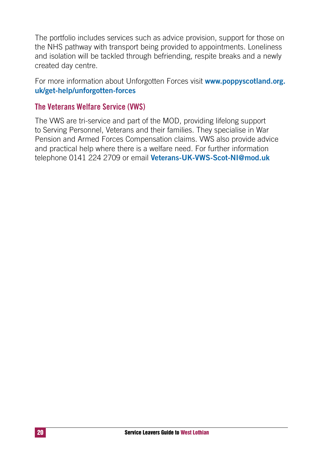The portfolio includes services such as advice provision, support for those on the NHS pathway with transport being provided to appointments. Loneliness and isolation will be tackled through befriending, respite breaks and a newly created day centre.

For more information about Unforgotten Forces visit www.poppyscotland.org. uk/get-help/unforgotten-forces

#### The Veterans Welfare Service (VWS)

The VWS are tri-service and part of the MOD, providing lifelong support to Serving Personnel, Veterans and their families. They specialise in War Pension and Armed Forces Compensation claims. VWS also provide advice and practical help where there is a welfare need. For further information telephone 0141 224 2709 or email Veterans-UK-VWS-Scot-NI@mod.uk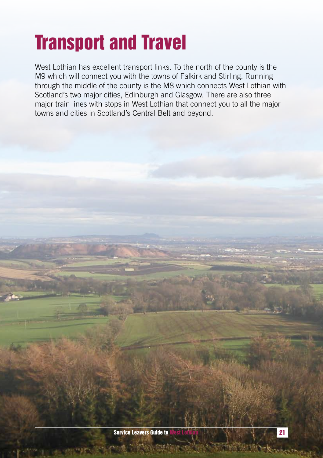# Transport and Travel

West Lothian has excellent transport links. To the north of the county is the M9 which will connect you with the towns of Falkirk and Stirling. Running through the middle of the county is the M8 which connects West Lothian with Scotland's two major cities, Edinburgh and Glasgow. There are also three major train lines with stops in West Lothian that connect you to all the major towns and cities in Scotland's Central Belt and beyond.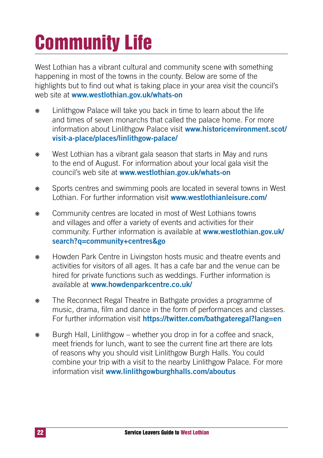# Community Life

West Lothian has a vibrant cultural and community scene with something happening in most of the towns in the county. Below are some of the highlights but to find out what is taking place in your area visit the council's web site at www.westlothian.gov.uk/whats-on

- ❋ Linlithgow Palace will take you back in time to learn about the life and times of seven monarchs that called the palace home. For more information about Linlithgow Palace visit www.historicenvironment.scot/ visit-a-place/places/linlithgow-palace/
- ❋ West Lothian has a vibrant gala season that starts in May and runs to the end of August. For information about your local gala visit the council's web site at www.westlothian.gov.uk/whats-on
- ❋ Sports centres and swimming pools are located in several towns in West Lothian. For further information visit www.westlothianleisure.com/
- ❋ Community centres are located in most of West Lothians towns and villages and offer a variety of events and activities for their community. Further information is available at www.westlothian.gov.uk/ search?q=community+centres&go
- ❋ Howden Park Centre in Livingston hosts music and theatre events and activities for visitors of all ages. It has a cafe bar and the venue can be hired for private functions such as weddings. Further information is available at www.howdenparkcentre.co.uk/
- ❋ The Reconnect Regal Theatre in Bathgate provides a programme of music, drama, film and dance in the form of performances and classes. For further information visit https://twitter.com/bathgateregal?lang=en
- ❋ Burgh Hall, Linlithgow whether you drop in for a coffee and snack, meet friends for lunch, want to see the current fine art there are lots of reasons why you should visit Linlithgow Burgh Halls. You could combine your trip with a visit to the nearby Linlithgow Palace. For more information visit www.linlithgowburghhalls.com/aboutus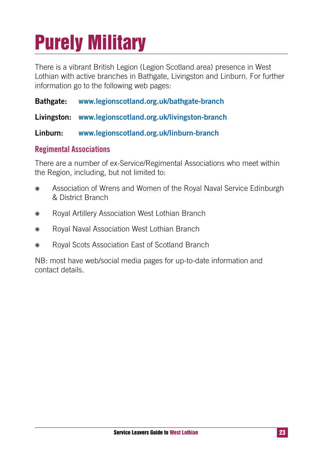# Purely Military

There is a vibrant British Legion (Legion Scotland area) presence in West Lothian with active branches in Bathgate, Livingston and Linburn. For further information go to the following web pages:

#### Bathgate: www.legionscotland.org.uk/bathgate-branch

Livingston: www.legionscotland.org.uk/livingston-branch

Linburn: www.legionscotland.org.uk/linburn-branch

#### Regimental Associations

There are a number of ex-Service/Regimental Associations who meet within the Region, including, but not limited to:

- ❋ Association of Wrens and Women of the Royal Naval Service Edinburgh & District Branch
- ❋ Royal Artillery Association West Lothian Branch
- ❋ Royal Naval Association West Lothian Branch
- ❋ Royal Scots Association East of Scotland Branch

NB: most have web/social media pages for up-to-date information and contact details.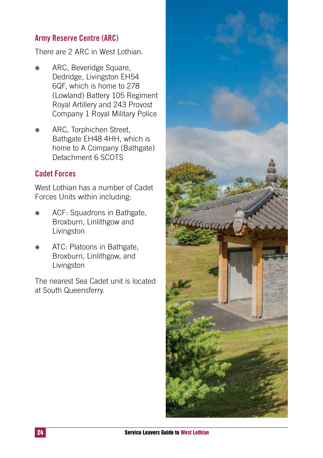#### Army Reserve Centre (ARC)

There are 2 ARC in West Lothian.

- ❋ ARC, Beveridge Square, Dedridge, Livingston EH54 6QF, which is home to 278 (Lowland) Battery 105 Regiment Royal Artillery and 243 Provost Company 1 Royal Military Police
- ❋ ARC, Torphichen Street, Bathgate EH48 4HH, which is home to A Company (Bathgate) Detachment 6 SCOTS

#### Cadet Forces

West Lothian has a number of Cadet Forces Units within including:

- ACF: Squadrons in Bathgate. Broxburn, Linlithgow and Livingston
- ❋ ATC: Platoons in Bathgate, Broxburn, Linlithgow, and Livingston

The nearest Sea Cadet unit is located at South Queensferry.

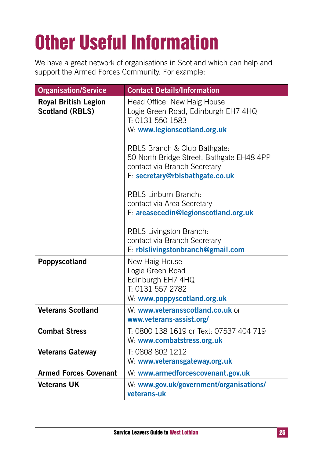# Other Useful Information

We have a great network of organisations in Scotland which can help and support the Armed Forces Community. For example:

| <b>Organisation/Service</b>                           | <b>Contact Details/Information</b>                                                                                                           |
|-------------------------------------------------------|----------------------------------------------------------------------------------------------------------------------------------------------|
| <b>Royal British Legion</b><br><b>Scotland (RBLS)</b> | Head Office: New Haig House<br>Logie Green Road, Edinburgh EH7 4HQ<br>T: 0131 550 1583<br>W: www.legionscotland.org.uk                       |
|                                                       | RBLS Branch & Club Bathgate:<br>50 North Bridge Street, Bathgate EH48 4PP<br>contact via Branch Secretary<br>E: secretary@rblsbathgate.co.uk |
|                                                       | RBLS Linburn Branch:<br>contact via Area Secretary<br>E: areasecedin@legionscotland.org.uk                                                   |
|                                                       | <b>RBLS Livingston Branch:</b><br>contact via Branch Secretary<br>E: rblslivingstonbranch@gmail.com                                          |
| Poppyscotland                                         | New Haig House<br>Logie Green Road<br>Edinburgh EH7 4HQ<br>T: 0131 557 2782<br>W: www.poppyscotland.org.uk                                   |
| <b>Veterans Scotland</b>                              | W: www.veteransscotland.co.uk or<br>www.veterans-assist.org/                                                                                 |
| <b>Combat Stress</b>                                  | T: 0800 138 1619 or Text: 07537 404 719<br>W: www.combatstress.org.uk                                                                        |
| <b>Veterans Gateway</b>                               | T: 0808 802 1212<br>W: www.veteransgateway.org.uk                                                                                            |
| <b>Armed Forces Covenant</b>                          | W: www.armedforcescovenant.gov.uk                                                                                                            |
| <b>Veterans UK</b>                                    | W: www.gov.uk/government/organisations/<br>veterans-uk                                                                                       |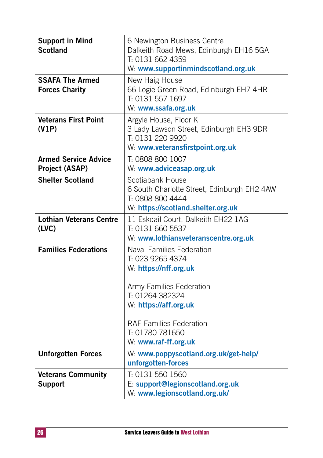| <b>Support in Mind</b><br><b>Scotland</b>       | 6 Newington Business Centre<br>Dalkeith Road Mews, Edinburgh EH16 5GA<br>T: 0131 662 4359<br>W: www.supportinmindscotland.org.uk                                                                                                   |
|-------------------------------------------------|------------------------------------------------------------------------------------------------------------------------------------------------------------------------------------------------------------------------------------|
| <b>SSAFA The Armed</b><br><b>Forces Charity</b> | New Haig House<br>66 Logie Green Road, Edinburgh EH7 4HR<br>T: 0131 557 1697<br>W: www.ssafa.org.uk                                                                                                                                |
| <b>Veterans First Point</b><br>(V1P)            | Argyle House, Floor K<br>3 Lady Lawson Street, Edinburgh EH3 9DR<br>T: 0131 220 9920<br>W: www.veteransfirstpoint.org.uk                                                                                                           |
| <b>Armed Service Advice</b><br>Project (ASAP)   | T: 0808 800 1007<br>W: www.adviceasap.org.uk                                                                                                                                                                                       |
| <b>Shelter Scotland</b>                         | Scotiabank House<br>6 South Charlotte Street, Edinburgh EH2 4AW<br>T: 0808 800 4444<br>W: https://scotland.shelter.org.uk                                                                                                          |
| <b>Lothian Veterans Centre</b><br>(IVC)         | 11 Eskdail Court, Dalkeith EH22 1AG<br>T: 0131 660 5537<br>W: www.lothiansveteranscentre.org.uk                                                                                                                                    |
| <b>Families Federations</b>                     | Naval Families Federation<br>T: 023 9265 4374<br>W: https://nff.org.uk<br><b>Army Families Federation</b><br>T: 01264 382324<br>W: https://aff.org.uk<br><b>RAF Families Federation</b><br>T: 01780 781650<br>W: www.raf-ff.org.uk |
| <b>Unforgotten Forces</b>                       | W: www.poppyscotland.org.uk/get-help/<br>unforgotten-forces                                                                                                                                                                        |
| <b>Veterans Community</b><br><b>Support</b>     | T: 0131 550 1560<br>E: support@legionscotland.org.uk<br>W: www.legionscotland.org.uk/                                                                                                                                              |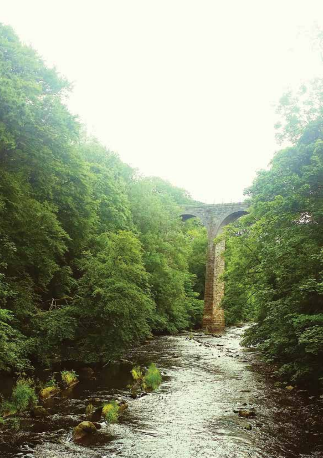